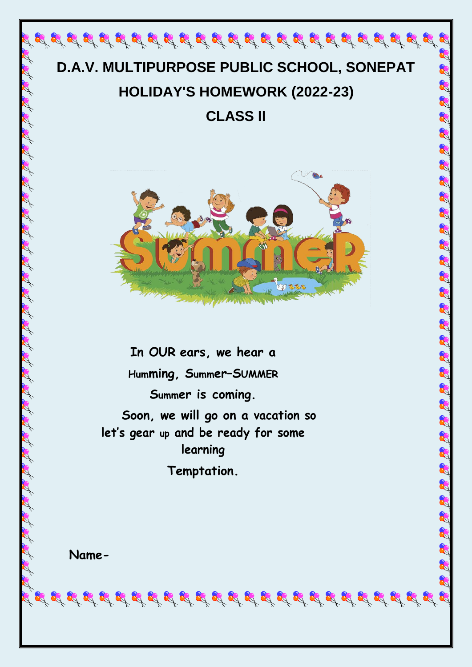# **D.A.V. MULTIPURPOSE PUBLIC SCHOOL, SONEPAT HOLIDAY'S HOMEWORK (2022-23)**

**CLASS II**



Q

a a a

R

8

**In OUR ears, we hear a Humming, Summer–SUMMER Summer is coming. Soon, we will go on a vacation so let's gear up and be ready for some learning**

**Temptation.**

**Name-**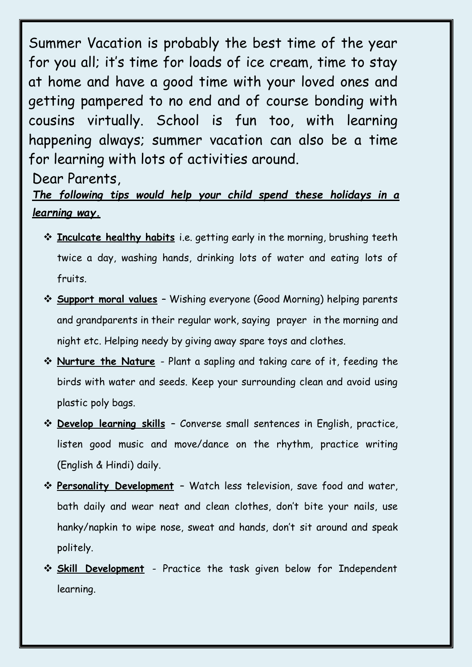Summer Vacation is probably the best time of the year for you all; it's time for loads of ice cream, time to stay at home and have a good time with your loved ones and getting pampered to no end and of course bonding with cousins virtually. School is fun too, with learning happening always; summer vacation can also be a time for learning with lots of activities around.

Dear Parents,

### *The following tips would help your child spend these holidays in a learning way.*

- **Inculcate healthy habits** i.e. getting early in the morning, brushing teeth twice a day, washing hands, drinking lots of water and eating lots of fruits.
- **Support moral values** Wishing everyone (Good Morning) helping parents and grandparents in their regular work, saying prayer in the morning and night etc. Helping needy by giving away spare toys and clothes.
- **Nurture the Nature** Plant a sapling and taking care of it, feeding the birds with water and seeds. Keep your surrounding clean and avoid using plastic poly bags.
- **Develop learning skills** Converse small sentences in English, practice, listen good music and move/dance on the rhythm, practice writing (English & Hindi) daily.
- **Personality Development** Watch less television, save food and water, bath daily and wear neat and clean clothes, don't bite your nails, use hanky/napkin to wipe nose, sweat and hands, don't sit around and speak politely.
- **Skill Development** Practice the task given below for Independent learning.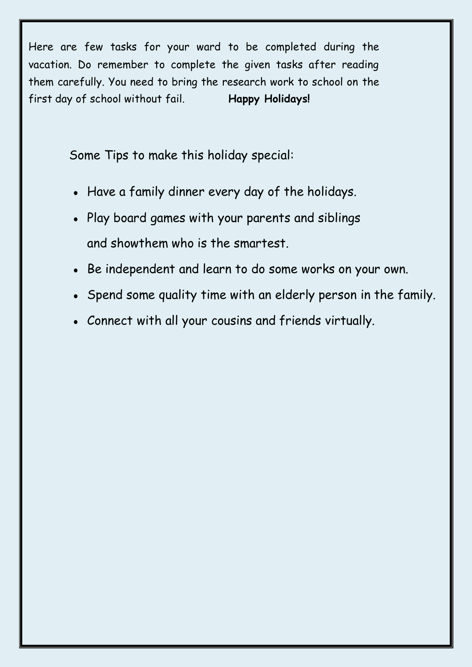Here are few tasks for your ward to be completed during the vacation. Do remember to complete the given tasks after reading them carefully. You need to bring the research work to school on the first day of school without fail. **Happy Holidays!**

Some Tips to make this holiday special:

- Have a family dinner every day of the holidays.
- Play board games with your parents and siblings and showthem who is the smartest.
- Be independent and learn to do some works on your own.
- Spend some quality time with an elderly person in the family.
- Connect with all your cousins and friends virtually.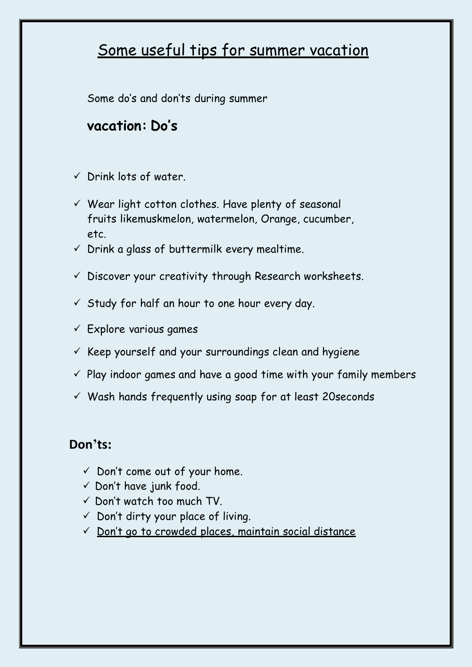# Some useful tips for summer vacation

Some do's and don'ts during summer

## **vacation: Do's**

- $\checkmark$  Drink lots of water.
- $\checkmark$  Wear light cotton clothes. Have plenty of seasonal fruits likemuskmelon, watermelon, Orange, cucumber, etc.
- $\checkmark$  Drink a glass of buttermilk every mealtime.
- $\checkmark$  Discover your creativity through Research worksheets.
- $\checkmark$  Study for half an hour to one hour every day.
- $\checkmark$  Explore various games
- $\checkmark$  Keep yourself and your surroundings clean and hygiene
- $\checkmark$  Play indoor games and have a good time with your family members
- $\checkmark$  Wash hands frequently using soap for at least 20 seconds

#### **Don'ts:**

- $\checkmark$  Don't come out of your home.
- $\checkmark$  Don't have junk food.
- $\checkmark$  Don't watch too much TV.
- $\checkmark$  Don't dirty your place of living.
- $\checkmark$  Don't go to crowded places, maintain social distance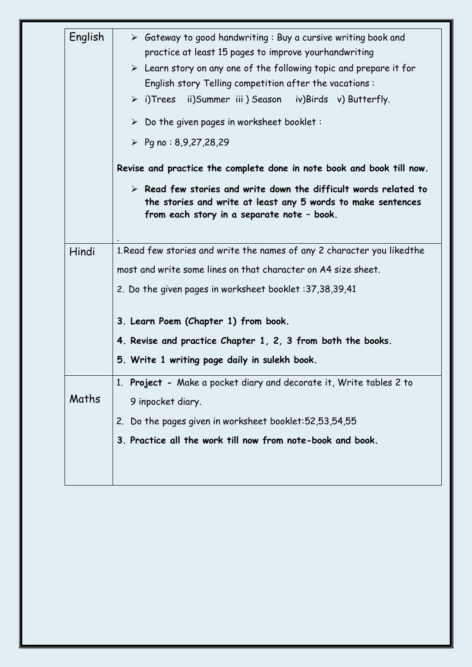| English | $\triangleright$ Gateway to good handwriting: Buy a cursive writing book and<br>practice at least 15 pages to improve yourhandwriting<br>$\triangleright$ Learn story on any one of the following topic and prepare it for<br>English story Telling competition after the vacations:<br>$\triangleright$ i)Trees ii)Summer iii) Season iv)Birds v) Butterfly.<br>$\triangleright$ Do the given pages in worksheet booklet:<br>▶ Pg no: 8,9,27,28,29<br>Revise and practice the complete done in note book and book till now.<br>$\triangleright$ Read few stories and write down the difficult words related to<br>the stories and write at least any 5 words to make sentences |
|---------|---------------------------------------------------------------------------------------------------------------------------------------------------------------------------------------------------------------------------------------------------------------------------------------------------------------------------------------------------------------------------------------------------------------------------------------------------------------------------------------------------------------------------------------------------------------------------------------------------------------------------------------------------------------------------------|
|         | from each story in a separate note - book.                                                                                                                                                                                                                                                                                                                                                                                                                                                                                                                                                                                                                                      |
| Hindi   | 1. Read few stories and write the names of any 2 character you likedthe                                                                                                                                                                                                                                                                                                                                                                                                                                                                                                                                                                                                         |
|         | most and write some lines on that character on A4 size sheet.                                                                                                                                                                                                                                                                                                                                                                                                                                                                                                                                                                                                                   |
|         | 2. Do the given pages in worksheet booklet : 37,38,39,41                                                                                                                                                                                                                                                                                                                                                                                                                                                                                                                                                                                                                        |
|         | 3. Learn Poem (Chapter 1) from book.                                                                                                                                                                                                                                                                                                                                                                                                                                                                                                                                                                                                                                            |
|         | 4. Revise and practice Chapter 1, 2, 3 from both the books.                                                                                                                                                                                                                                                                                                                                                                                                                                                                                                                                                                                                                     |
|         | 5. Write 1 writing page daily in sulekh book.                                                                                                                                                                                                                                                                                                                                                                                                                                                                                                                                                                                                                                   |
|         | 1. Project - Make a pocket diary and decorate it, Write tables 2 to                                                                                                                                                                                                                                                                                                                                                                                                                                                                                                                                                                                                             |
| Maths   | 9 inpocket diary.                                                                                                                                                                                                                                                                                                                                                                                                                                                                                                                                                                                                                                                               |
|         | 2. Do the pages given in worksheet booklet: 52, 53, 54, 55                                                                                                                                                                                                                                                                                                                                                                                                                                                                                                                                                                                                                      |
|         | 3. Practice all the work till now from note-book and book.                                                                                                                                                                                                                                                                                                                                                                                                                                                                                                                                                                                                                      |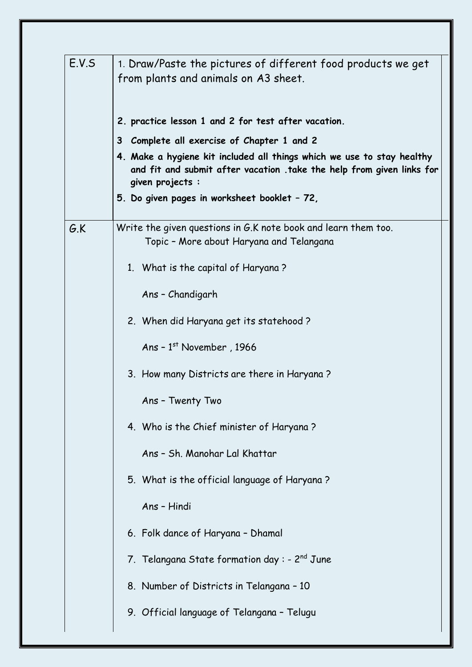| E.V.S | 1. Draw/Paste the pictures of different food products we get<br>from plants and animals on A3 sheet.                                                                |
|-------|---------------------------------------------------------------------------------------------------------------------------------------------------------------------|
|       | 2. practice lesson 1 and 2 for test after vacation.                                                                                                                 |
|       | 3 Complete all exercise of Chapter 1 and 2                                                                                                                          |
|       | 4. Make a hygiene kit included all things which we use to stay healthy<br>and fit and submit after vacation .take the help from given links for<br>given projects : |
|       | 5. Do given pages in worksheet booklet - 72,                                                                                                                        |
| G.K   | Write the given questions in G.K note book and learn them too.<br>Topic - More about Haryana and Telangana                                                          |
|       | 1. What is the capital of Haryana?                                                                                                                                  |
|       | Ans - Chandigarh                                                                                                                                                    |
|       | 2. When did Haryana get its statehood?                                                                                                                              |
|       | Ans - $1st$ November, 1966                                                                                                                                          |
|       | 3. How many Districts are there in Haryana?                                                                                                                         |
|       | Ans - Twenty Two                                                                                                                                                    |
|       | 4. Who is the Chief minister of Haryana?                                                                                                                            |
|       | Ans - Sh. Manohar Lal Khattar                                                                                                                                       |
|       | 5. What is the official language of Haryana?                                                                                                                        |
|       | Ans - Hindi                                                                                                                                                         |
|       | 6. Folk dance of Haryana - Dhamal                                                                                                                                   |
|       | 7. Telangana State formation day: - $2^{nd}$ June                                                                                                                   |
|       | 8. Number of Districts in Telangana - 10                                                                                                                            |
|       | 9. Official language of Telangana - Telugu                                                                                                                          |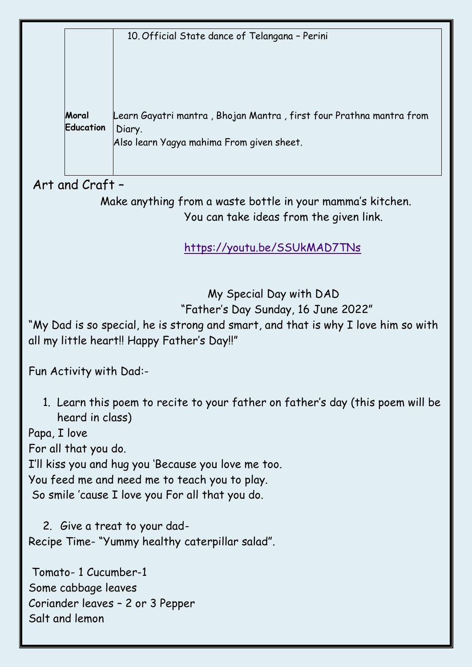10. Official State dance of Telangana – Perini

**Moral Education**  Learn Gayatri mantra , Bhojan Mantra , first four Prathna mantra from Diary. Also learn Yagya mahima From given sheet.

. Art and Craft –

 Make anything from a waste bottle in your mamma's kitchen. You can take ideas from the given link.

<https://youtu.be/SSUkMAD7TNs>

 My Special Day with DAD "Father's Day Sunday, 16 June 2022"

"My Dad is so special, he is strong and smart, and that is why I love him so with all my little heart!! Happy Father's Day!!"

Fun Activity with Dad:-

1. Learn this poem to recite to your father on father's day (this poem will be heard in class)

Papa, I love

For all that you do.

I'll kiss you and hug you 'Because you love me too.

You feed me and need me to teach you to play.

So smile 'cause I love you For all that you do.

2. Give a treat to your dad-Recipe Time- "Yummy healthy caterpillar salad".

Tomato- 1 Cucumber-1 Some cabbage leaves Coriander leaves – 2 or 3 Pepper Salt and lemon